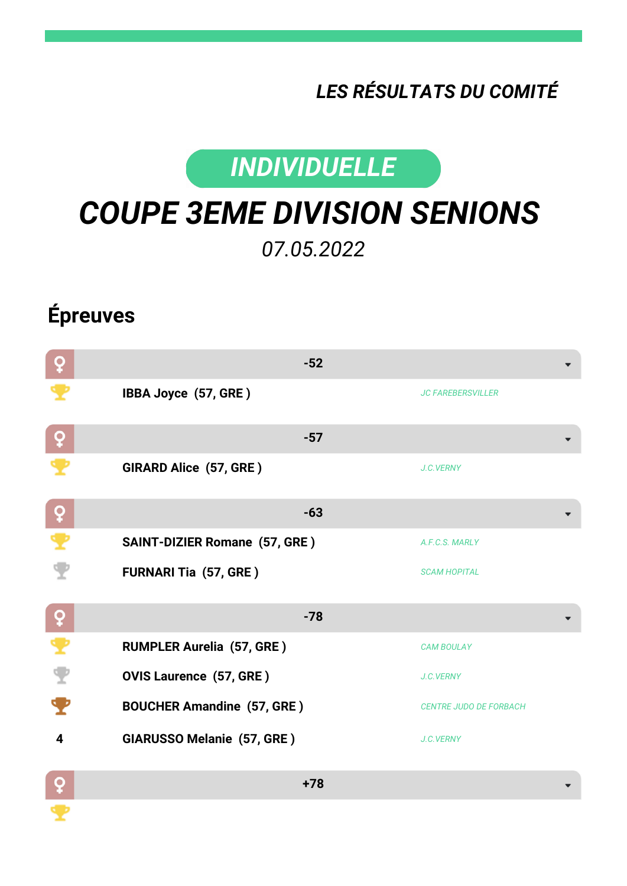## *LES RÉSULTATS DU COMITÉ*



## *COUPE 3EME DIVISION SENIONS 07.05.2022*

## **Épreuves**

| ò            | $-52$                                |                               |
|--------------|--------------------------------------|-------------------------------|
|              | IBBA Joyce (57, GRE)                 | <b>JC FAREBERSVILLER</b>      |
| ò            | $-57$                                |                               |
|              | GIRARD Alice (57, GRE)               | J.C.VERNY                     |
| $\mathsf{P}$ | $-63$                                |                               |
| ₹            | <b>SAINT-DIZIER Romane (57, GRE)</b> | A.F.C.S. MARLY                |
|              | <b>FURNARI Tia (57, GRE)</b>         | <b>SCAM HOPITAL</b>           |
| $ 9\rangle$  | $-78$                                |                               |
| ₹            | <b>RUMPLER Aurelia (57, GRE)</b>     | <b>CAM BOULAY</b>             |
| Ÿ            | <b>OVIS Laurence (57, GRE)</b>       | J.C.VERNY                     |
|              | <b>BOUCHER Amandine (57, GRE)</b>    | <b>CENTRE JUDO DE FORBACH</b> |
| 4            | <b>GIARUSSO Melanie (57, GRE)</b>    | J.C.VERNY                     |
| O            | $+78$                                |                               |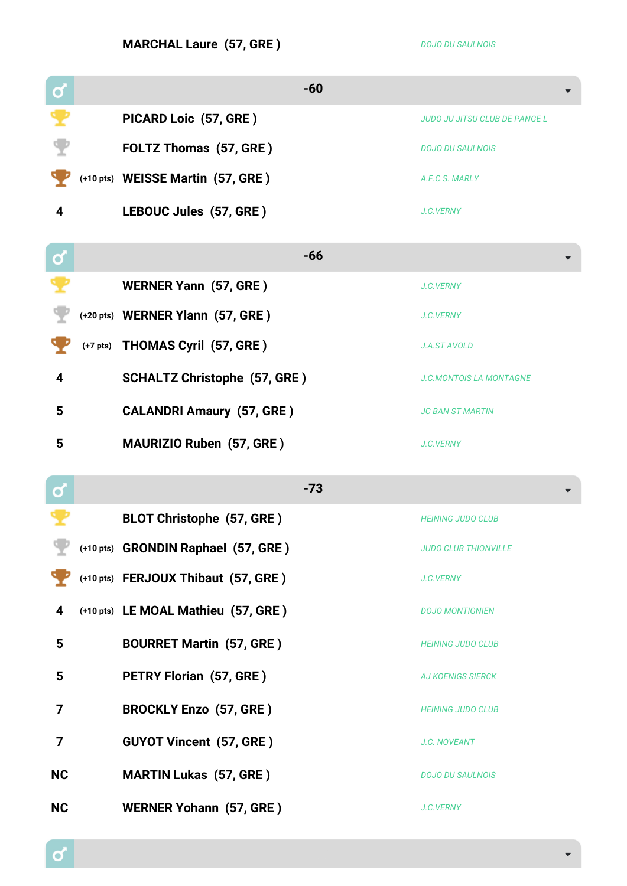**MARCHAL Laure (57, GRE)** *DOJO DU SAULNOIS* 

| $\mathbf{\alpha}$ | $-60$                               |                                      |
|-------------------|-------------------------------------|--------------------------------------|
|                   | PICARD Loic (57, GRE)               | <b>JUDO JU JITSU CLUB DE PANGE L</b> |
|                   | FOLTZ Thomas (57, GRE)              | <b>DOJO DU SAULNOIS</b>              |
|                   | (+10 pts) WEISSE Martin (57, GRE)   | A.F.C.S. MARLY                       |
| 4                 | LEBOUC Jules (57, GRE)              | J.C.VERNY                            |
|                   | $-66$                               |                                      |
| $\mathbf Q$       |                                     |                                      |
|                   | <b>WERNER Yann (57, GRE)</b>        | J.C.VERNY                            |
|                   | (+20 pts) WERNER Ylann (57, GRE)    | J.C.VERNY                            |
|                   | (+7 pts) THOMAS Cyril (57, GRE)     | <b>J.A.ST AVOLD</b>                  |
| 4                 | <b>SCHALTZ Christophe (57, GRE)</b> | <b>J.C.MONTOIS LA MONTAGNE</b>       |
| 5                 | <b>CALANDRI Amaury (57, GRE)</b>    | <b>JC BAN ST MARTIN</b>              |
| 5                 | <b>MAURIZIO Ruben (57, GRE)</b>     | J.C.VERNY                            |
| $\mathbf C$       | $-73$                               |                                      |
|                   | <b>BLOT Christophe (57, GRE)</b>    | <b>HEINING JUDO CLUB</b>             |
|                   | (+10 pts) GRONDIN Raphael (57, GRE) | <b>JUDO CLUB THIONVILLE</b>          |
|                   | (+10 pts) FERJOUX Thibaut (57, GRE) | J.C.VERNY                            |
| 4                 | (+10 pts) LE MOAL Mathieu (57, GRE) | <b>DOJO MONTIGNIEN</b>               |
| 5                 | <b>BOURRET Martin (57, GRE)</b>     | <b>HEINING JUDO CLUB</b>             |
| 5                 | <b>PETRY Florian (57, GRE)</b>      | <b>AJ KOENIGS SIERCK</b>             |
| 7                 | <b>BROCKLY Enzo (57, GRE)</b>       | <b>HEINING JUDO CLUB</b>             |
| 7                 | <b>GUYOT Vincent (57, GRE)</b>      | J.C. NOVEANT                         |
| <b>NC</b>         | <b>MARTIN Lukas (57, GRE)</b>       | <b>DOJO DU SAULNOIS</b>              |
| <b>NC</b>         | <b>WERNER Yohann (57, GRE)</b>      | J.C.VERNY                            |

 $\mathbf{Q}$